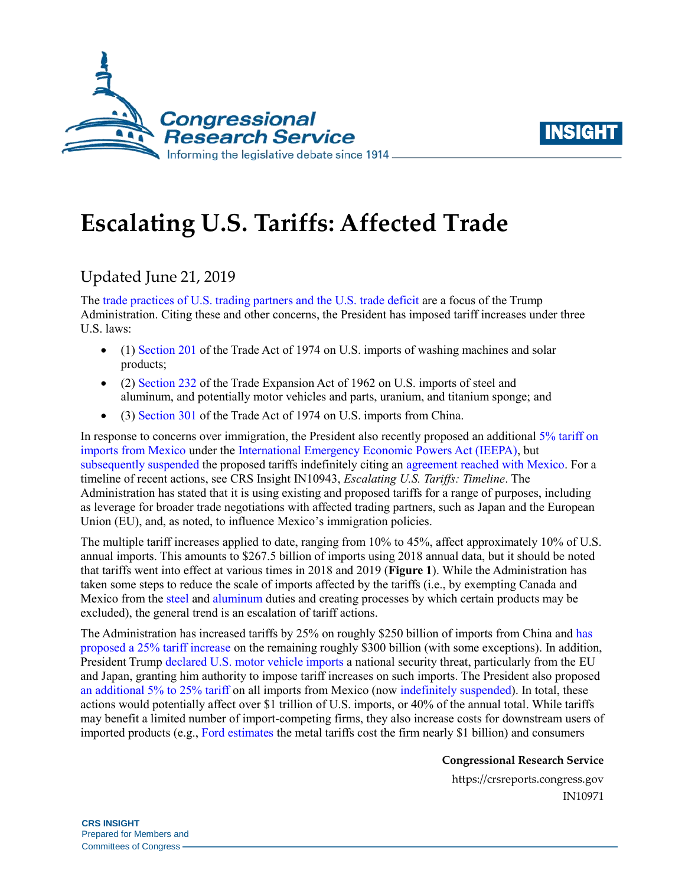



# **Escalating U.S. Tariffs: Affected Trade**

## Updated June 21, 2019

The [trade practices of U.S. trading partners and the U.S. trade deficit](https://www.whitehouse.gov/briefings-statements/press-conference-president-trump-g7-summit/) are a focus of the Trump Administration. Citing these and other concerns, the President has imposed tariff increases under three U.S. laws:

- (1) [Section 201](https://crsreports.congress.gov/product/pdf/IF/IF10786) of the Trade Act of 1974 on U.S. imports of washing machines and solar products;
- (2) [Section 232](https://crsreports.congress.gov/product/pdf/IF/IF10667) of the Trade Expansion Act of 1962 on U.S. imports of steel and aluminum, and potentially motor vehicles and parts, uranium, and titanium sponge; and
- (3) [Section 301](https://crsreports.congress.gov/product/pdf/IF/IF10708) of the Trade Act of 1974 on U.S. imports from China.

In response to concerns over immigration, the President also recently proposed an additional [5% tariff on](https://www.whitehouse.gov/briefings-statements/statement-president-regarding-emergency-measures-address-border-crisis/)  [imports from Mexico](https://www.whitehouse.gov/briefings-statements/statement-president-regarding-emergency-measures-address-border-crisis/) under the [International Emergency Economic Powers Act \(IEEPA\),](https://crsreports.congress.gov/product/pdf/R/R45618) but [subsequently suspended](https://twitter.com/realDonaldTrump/status/1137155056044826626) the proposed tariffs indefinitely citing an [agreement reached with Mexico.](https://www.state.gov/u-s-mexico-joint-declaration/) For a timeline of recent actions, see CRS Insight IN10943, *[Escalating U.S. Tariffs: Timeline](https://crsreports.congress.gov/product/pdf/IN/IN10943)*. The Administration has stated that it is using existing and proposed tariffs for a range of purposes, including as leverage for broader trade negotiations with affected trading partners, such as Japan and the European Union (EU), and, as noted, to influence Mexico's immigration policies.

The multiple tariff increases applied to date, ranging from 10% to 45%, affect approximately 10% of U.S. annual imports. This amounts to \$267.5 billion of imports using 2018 annual data, but it should be noted that tariffs went into effect at various times in 2018 and 2019 (**[Figure 1](#page-1-0)**). While the Administration has taken some steps to reduce the scale of imports affected by the tariffs (i.e., by exempting Canada and Mexico from th[e steel](https://www.govinfo.gov/content/pkg/FR-2019-05-23/pdf/2019-11002.pdf) and [aluminum](https://www.govinfo.gov/content/pkg/FR-2019-05-23/pdf/2019-10999.pdf) duties and creating processes by which certain products may be excluded), the general trend is an escalation of tariff actions.

The Administration has increased tariffs by 25% on roughly \$250 billion of imports from China and [has](https://ustr.gov/sites/default/files/enforcement/301Investigations/84_FR_22564.pdf)  [proposed a 25% tariff increase](https://ustr.gov/sites/default/files/enforcement/301Investigations/84_FR_22564.pdf) on the remaining roughly \$300 billion (with some exceptions). In addition, President Trump [declared U.S. motor vehicle imports](https://www.govinfo.gov/content/pkg/FR-2019-05-21/pdf/2019-10774.pdf) a national security threat, particularly from the EU and Japan, granting him authority to impose tariff increases on such imports. The President also proposed [an additional 5% to 25% tariff](https://www.whitehouse.gov/briefings-statements/statement-president-regarding-emergency-measures-address-border-crisis/) on all imports from Mexico (no[w indefinitely suspended\)](https://twitter.com/realDonaldTrump/status/1137155056044826626). In total, these actions would potentially affect over \$1 trillion of U.S. imports, or 40% of the annual total. While tariffs may benefit a limited number of import-competing firms, they also increase costs for downstream users of imported products (e.g., [Ford estimates t](https://www.reuters.com/article/us-ford-motor-tariffs/trump-metals-tariffs-will-cost-ford-1-billion-in-profits-ceo-says-idUSKCN1M61ZN)he metal tariffs cost the firm nearly \$1 billion) and consumers

**Congressional Research Service**

https://crsreports.congress.gov IN10971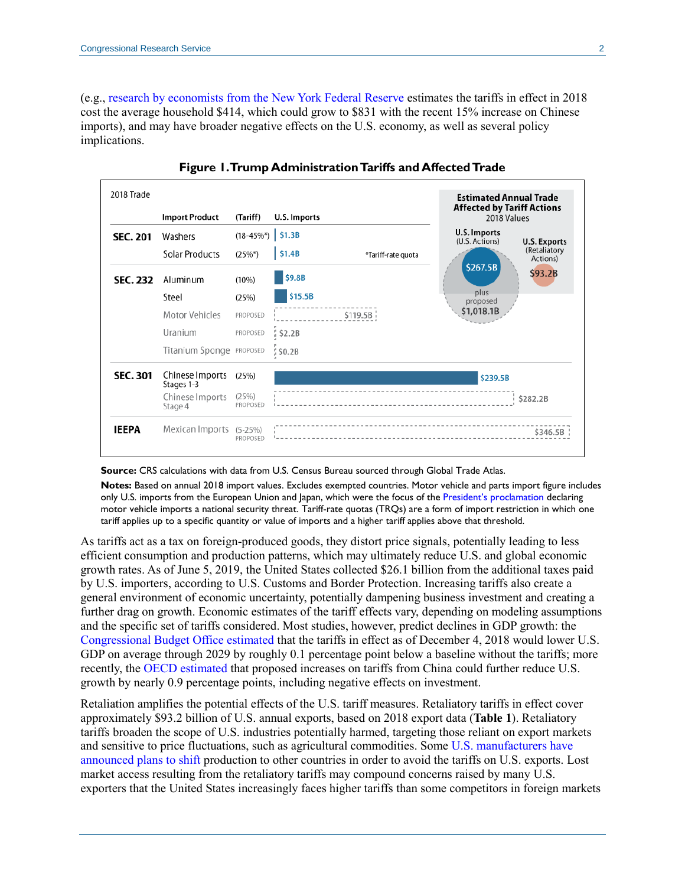(e.g., [research by economists from the](https://libertystreeteconomics.newyorkfed.org/2019/05/new-china-tariffs-increase-costs-to-us-households.html) New York Federal Reserve estimates the tariffs in effect in 2018 cost the average household \$414, which could grow to \$831 with the recent 15% increase on Chinese imports), and may have broader negative effects on the U.S. economy, as well as several policy implications.

<span id="page-1-0"></span>

**Figure 1. Trump Administration Tariffs and Affected Trade**

#### **Source:** CRS calculations with data from U.S. Census Bureau sourced through Global Trade Atlas.

**Notes:** Based on annual 2018 import values. Excludes exempted countries. Motor vehicle and parts import figure includes only U.S. imports from the European Union and Japan, which were the focus of the [President's proclamation](https://www.govinfo.gov/content/pkg/FR-2019-05-21/pdf/2019-10774.pdf) declaring motor vehicle imports a national security threat. Tariff-rate quotas (TRQs) are a form of import restriction in which one tariff applies up to a specific quantity or value of imports and a higher tariff applies above that threshold.

As tariffs act as a tax on foreign-produced goods, they distort price signals, potentially leading to less efficient consumption and production patterns, which may ultimately reduce U.S. and global economic growth rates. As of June 5, 2019, the United States collected \$26.1 billion from the additional taxes paid by U.S. importers, according to U.S. Customs and Border Protection. Increasing tariffs also create a general environment of economic uncertainty, potentially dampening business investment and creating a further drag on growth. Economic estimates of the tariff effects vary, depending on modeling assumptions and the specific set of tariffs considered. Most studies, however, predict declines in GDP growth: the [Congressional Budget Office estimated](https://www.cbo.gov/system/files?file=2019-01/54918-Outlook.pdf) that the tariffs in effect as of December 4, 2018 would lower U.S. GDP on average through 2029 by roughly 0.1 percentage point below a baseline without the tariffs; more recently, the [OECD estimated](http://www.oecd.org/eco/outlook/) that proposed increases on tariffs from China could further reduce U.S. growth by nearly 0.9 percentage points, including negative effects on investment.

Retaliation amplifies the potential effects of the U.S. tariff measures. Retaliatory tariffs in effect cover approximately \$93.2 billion of U.S. annual exports, based on 2018 export data (**[Table 1](#page-2-0)**). Retaliatory tariffs broaden the scope of U.S. industries potentially harmed, targeting those reliant on export markets and sensitive to price fluctuations, such as agricultural commodities. Some [U.S. manufacturers have](https://www.ft.com/content/54a6cc82-7867-11e8-8e67-1e1a0846c475?emailId=5b3156c6acfae500047535d4&segmentId=60a126e8-df3c-b524-c979-f90bde8a67cd)  [announced plans to shift](https://www.ft.com/content/54a6cc82-7867-11e8-8e67-1e1a0846c475?emailId=5b3156c6acfae500047535d4&segmentId=60a126e8-df3c-b524-c979-f90bde8a67cd) production to other countries in order to avoid the tariffs on U.S. exports. Lost market access resulting from the retaliatory tariffs may compound concerns raised by many U.S. exporters that the United States increasingly faces higher tariffs than some competitors in foreign markets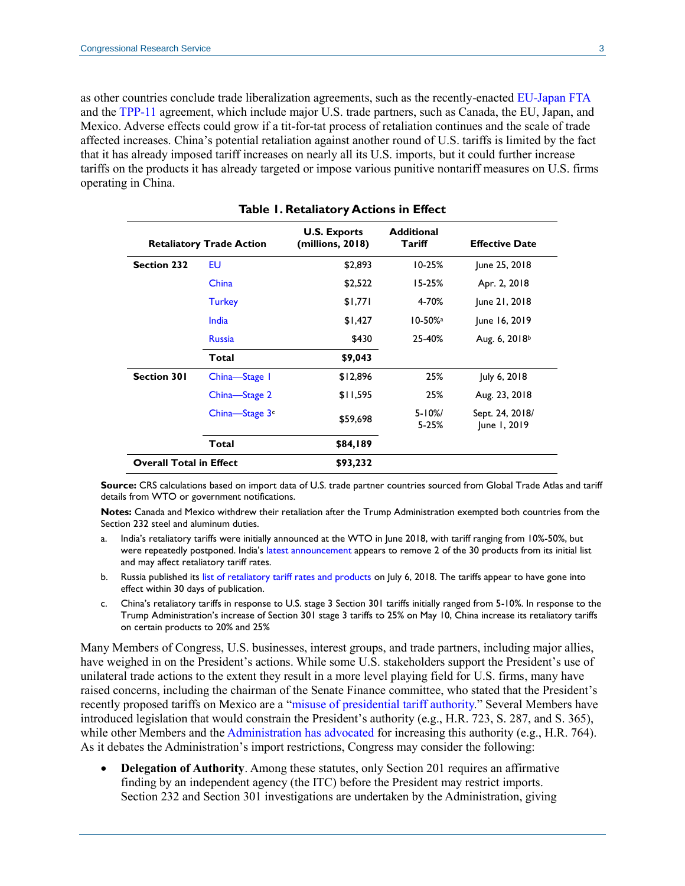as other countries conclude trade liberalization agreements, such as the recently-enacted [EU-Japan FTA](http://ec.europa.eu/trade/policy/in-focus/eu-japan-economic-partnership-agreement/) and th[e TPP-11](https://www.mfat.govt.nz/en/trade/free-trade-agreements/free-trade-agreements-in-force/cptpp/cptpp-overview/) agreement, which include major U.S. trade partners, such as Canada, the EU, Japan, and Mexico. Adverse effects could grow if a tit-for-tat process of retaliation continues and the scale of trade affected increases. China's potential retaliation against another round of U.S. tariffs is limited by the fact that it has already imposed tariff increases on nearly all its U.S. imports, but it could further increase tariffs on the products it has already targeted or impose various punitive nontariff measures on U.S. firms operating in China.

**Table 1. Retaliatory Actions in Effect**

<span id="page-2-0"></span>

| <b>Retaliatory Trade Action</b> |                | <b>U.S. Exports</b><br>(millions, 2018) | <b>Additional</b><br>Tariff | <b>Effective Date</b>           |
|---------------------------------|----------------|-----------------------------------------|-----------------------------|---------------------------------|
| <b>Section 232</b>              | EU             | \$2,893                                 | $10 - 25%$                  | June 25, 2018                   |
|                                 | China          | \$2,522                                 | $15 - 25%$                  | Apr. 2, 2018                    |
|                                 | <b>Turkey</b>  | \$1,771                                 | 4-70%                       | June 21, 2018                   |
|                                 | India          | \$1,427                                 | $10 - 50%$ <sup>a</sup>     | June 16, 2019                   |
|                                 | <b>Russia</b>  | \$430                                   | 25-40%                      | Aug. 6, $2018^{\circ}$          |
|                                 | Total          | \$9,043                                 |                             |                                 |
| <b>Section 301</b>              | China-Stage 1  | \$12,896                                | 25%                         | July 6, 2018                    |
|                                 | China-Stage 2  | \$11,595                                | 25%                         | Aug. 23, 2018                   |
|                                 | China-Stage 3c | \$59,698                                | $5 - 10\%$<br>$5 - 25%$     | Sept. 24, 2018/<br>June 1, 2019 |
|                                 | Total          | \$84,189                                |                             |                                 |
| <b>Overall Total in Effect</b>  |                | \$93,232                                |                             |                                 |

**Source:** CRS calculations based on import data of U.S. trade partner countries sourced from Global Trade Atlas and tariff details from WTO or government notifications.

**Notes:** Canada and Mexico withdrew their retaliation after the Trump Administration exempted both countries from the Section 232 steel and aluminum duties.

- <span id="page-2-1"></span>a. India's retaliatory tariffs were initially announced at the WTO in June 2018, with tariff ranging from 10%-50%, but were repeatedly postponed. India's [latest announcement](http://www.cbic.gov.in/resources/htdocs-cbec/customs/cs-act/notifications/notfns-2019/cs-tarr2019/cs17-2019.pdf;jsessionid=81DF30126845032B2D283E023BB7D73C?wpisrc=nl_daily202&wpmm=1) appears to remove 2 of the 30 products from its initial list and may affect retaliatory tariff rates.
- <span id="page-2-2"></span>b. Russia published its [list of retaliatory tariff rates and products](http://www.pravo.fso.gov.ru/laws/acts/53/555656.html) on July 6, 2018. The tariffs appear to have gone into effect within 30 days of publication.
- c. China's retaliatory tariffs in response to U.S. stage 3 Section 301 tariffs initially ranged from 5-10%. In response to the Trump Administration's increase of Section 301 stage 3 tariffs to 25% on May 10, China increase its retaliatory tariffs on certain products to 20% and 25%

Many Members of Congress, U.S. businesses, interest groups, and trade partners, including major allies, have weighed in on the President's actions. While some U.S. stakeholders support the President's use of unilateral trade actions to the extent they result in a more level playing field for U.S. firms, many have raised concerns, including the chairman of the Senate Finance committee, who stated that the President's recently proposed tariffs on Mexico are a ["misuse of presidential tariff authority.](https://www.grassley.senate.gov/news/news-releases/grassley-statement-tariff-announcement)" Several Members have introduced legislation that would constrain the President's authority (e.g., [H.R. 723,](http://www.congress.gov/cgi-lis/bdquery/z?d116:H.R.723:) [S. 287,](http://www.congress.gov/cgi-lis/bdquery/z?d116:S.287:) and [S. 365\)](http://www.congress.gov/cgi-lis/bdquery/z?d116:S.365:), while other Members and the [Administration has advocated](https://www.wsj.com/articles/a-tariff-issue-on-which-free-and-fair-traders-can-agree-11559084804) for increasing this authority (e.g., [H.R. 764\)](http://www.congress.gov/cgi-lis/bdquery/z?d116:H.R.764:). As it debates the Administration's import restrictions, Congress may consider the following:

 **Delegation of Authority**. Among these statutes, only Section 201 requires an affirmative finding by an independent agency (the ITC) before the President may restrict imports. Section 232 and Section 301 investigations are undertaken by the Administration, giving